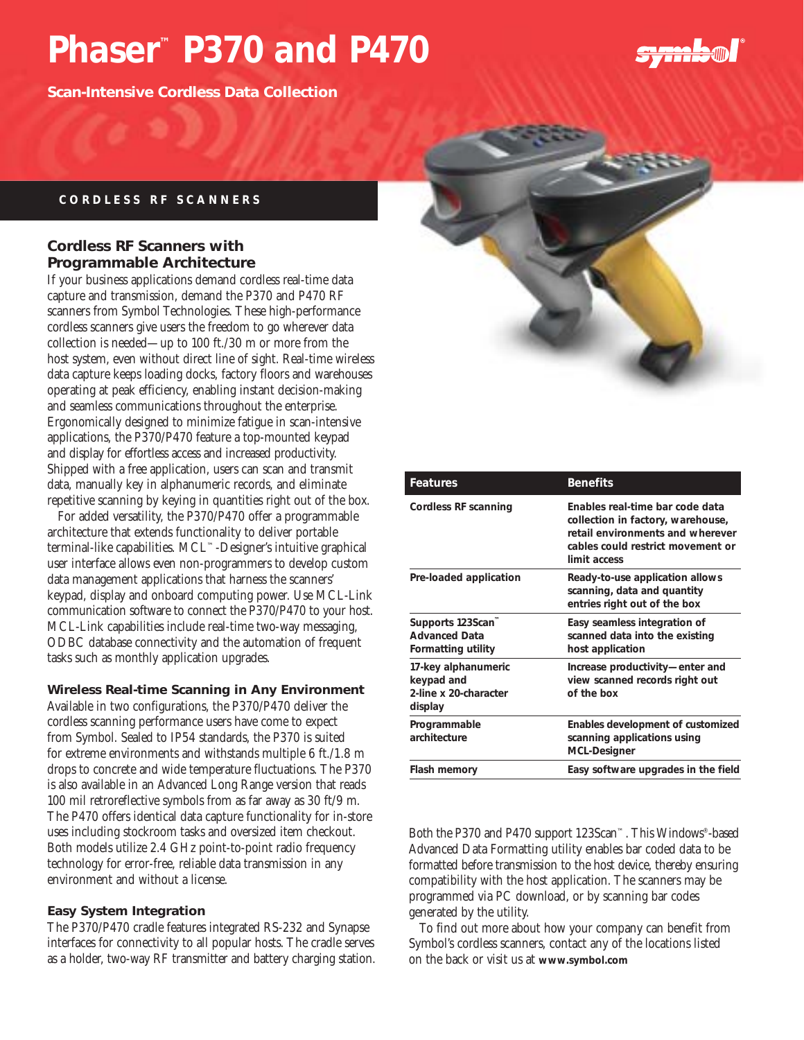# **Phaser™ P370 and P470**

**Scan-Intensive Cordless Data Collection**

## symbol

#### **CORDLESS RF SCANNERS**

#### **Cordless RF Scanners with Programmable Architecture**

If your business applications demand cordless real-time data capture and transmission, demand the P370 and P470 RF scanners from Symbol Technologies. These high-performance cordless scanners give users the freedom to go wherever data collection is needed—up to 100 ft./30 m or more from the host system, even without direct line of sight. Real-time wireless data capture keeps loading docks, factory floors and warehouses operating at peak efficiency, enabling instant decision-making and seamless communications throughout the enterprise. Ergonomically designed to minimize fatigue in scan-intensive applications, the P370/P470 feature a top-mounted keypad and display for effortless access and increased productivity. Shipped with a free application, users can scan and transmit data, manually key in alphanumeric records, and eliminate repetitive scanning by keying in quantities right out of the box.

For added versatility, the P370/P470 offer a programmable architecture that extends functionality to deliver portable terminal-like capabilities. MCL™-Designer's intuitive graphical user interface allows even non-programmers to develop custom data management applications that harness the scanners' keypad, display and onboard computing power. Use MCL-Link communication software to connect the P370/P470 to your host. MCL-Link capabilities include real-time two-way messaging, ODBC database connectivity and the automation of frequent tasks such as monthly application upgrades.

#### **Wireless Real-time Scanning in Any Environment**

Available in two configurations, the P370/P470 deliver the cordless scanning performance users have come to expect from Symbol. Sealed to IP54 standards, the P370 is suited for extreme environments and withstands multiple 6 ft./1.8 m drops to concrete and wide temperature fluctuations. The P370 is also available in an Advanced Long Range version that reads 100 mil retroreflective symbols from as far away as 30 ft/9 m. The P470 offers identical data capture functionality for in-store uses including stockroom tasks and oversized item checkout. Both models utilize 2.4 GHz point-to-point radio frequency technology for error-free, reliable data transmission in any environment and without a license.

#### **Easy System Integration**

The P370/P470 cradle features integrated RS-232 and Synapse interfaces for connectivity to all popular hosts. The cradle serves as a holder, two-way RF transmitter and battery charging station.



| <b>Features</b>                                                        | <b>Benefits</b>                                                                                                                                               |
|------------------------------------------------------------------------|---------------------------------------------------------------------------------------------------------------------------------------------------------------|
| Cordless RF scanning                                                   | Enables real-time bar code data<br>collection in factory, warehouse,<br>retail environments and wherever<br>cables could restrict movement or<br>limit access |
| Pre-loaded application                                                 | Ready-to-use application allows<br>scanning, data and quantity<br>entries right out of the box                                                                |
| Supports 123Scan™<br><b>Advanced Data</b><br><b>Formatting utility</b> | Easy seamless integration of<br>scanned data into the existing<br>host application                                                                            |
| 17-key alphanumeric<br>keypad and<br>2-line x 20-character<br>display  | Increase productivity-enter and<br>view scanned records right out<br>of the box                                                                               |
| Programmable<br>architecture                                           | Enables development of customized<br>scanning applications using<br><b>MCL-Designer</b>                                                                       |
| Flash memory                                                           | Easy software upgrades in the field                                                                                                                           |

Both the P370 and P470 support 123Scan™. This Windows® -based Advanced Data Formatting utility enables bar coded data to be formatted before transmission to the host device, thereby ensuring compatibility with the host application. The scanners may be programmed via PC download, or by scanning bar codes generated by the utility.

To find out more about how your company can benefit from Symbol's cordless scanners, contact any of the locations listed on the back or visit us at **www.symbol.com**